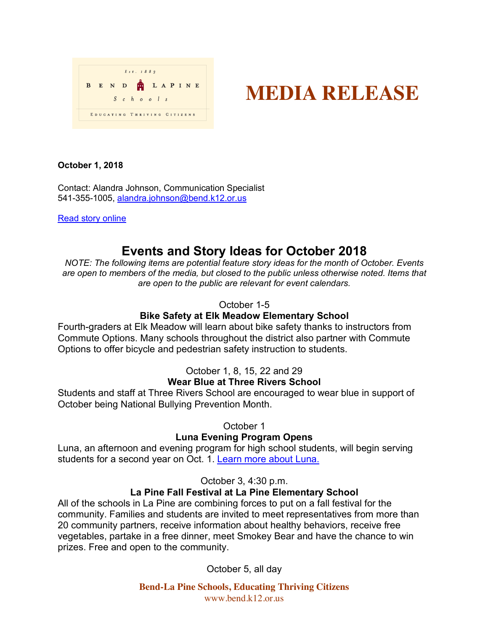| Est. 1883 |  |  |                             |            |  |  |  |  |  |  |  |  |  |
|-----------|--|--|-----------------------------|------------|--|--|--|--|--|--|--|--|--|
| B         |  |  | END TLAPINE                 |            |  |  |  |  |  |  |  |  |  |
|           |  |  |                             | $S$ chools |  |  |  |  |  |  |  |  |  |
|           |  |  | EDUCATING THRIVING CITIZENS |            |  |  |  |  |  |  |  |  |  |

# **MEDIA RELEASE**

#### **October 1, 2018**

Contact: Alandra Johnson, Communication Specialist 541-355-1005, alandra.johnson@bend.k12.or.us

Read story online

# **Events and Story Ideas for October 2018**

*NOTE: The following items are potential feature story ideas for the month of October. Events are open to members of the media, but closed to the public unless otherwise noted. Items that are open to the public are relevant for event calendars.*

# October 1-5

# **Bike Safety at Elk Meadow Elementary School**

Fourth-graders at Elk Meadow will learn about bike safety thanks to instructors from Commute Options. Many schools throughout the district also partner with Commute Options to offer bicycle and pedestrian safety instruction to students.

# October 1, 8, 15, 22 and 29

# **Wear Blue at Three Rivers School**

Students and staff at Three Rivers School are encouraged to wear blue in support of October being National Bullying Prevention Month.

# October 1

# **Luna Evening Program Opens**

Luna, an afternoon and evening program for high school students, will begin serving students for a second year on Oct. 1. Learn more about Luna.

# October 3, 4:30 p.m.

# **La Pine Fall Festival at La Pine Elementary School**

All of the schools in La Pine are combining forces to put on a fall festival for the community. Families and students are invited to meet representatives from more than 20 community partners, receive information about healthy behaviors, receive free vegetables, partake in a free dinner, meet Smokey Bear and have the chance to win prizes. Free and open to the community.

October 5, all day

**Bend-La Pine Schools, Educating Thriving Citizens** www.bend.k12.or.us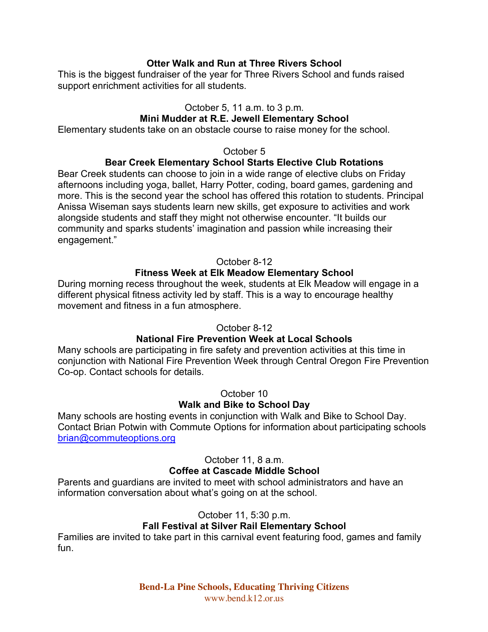### **Otter Walk and Run at Three Rivers School**

This is the biggest fundraiser of the year for Three Rivers School and funds raised support enrichment activities for all students.

#### October 5, 11 a.m. to 3 p.m.

### **Mini Mudder at R.E. Jewell Elementary School**

Elementary students take on an obstacle course to raise money for the school.

#### October 5

#### **Bear Creek Elementary School Starts Elective Club Rotations**

Bear Creek students can choose to join in a wide range of elective clubs on Friday afternoons including yoga, ballet, Harry Potter, coding, board games, gardening and more. This is the second year the school has offered this rotation to students. Principal Anissa Wiseman says students learn new skills, get exposure to activities and work alongside students and staff they might not otherwise encounter. "It builds our community and sparks students' imagination and passion while increasing their engagement."

#### October 8-12

#### **Fitness Week at Elk Meadow Elementary School**

During morning recess throughout the week, students at Elk Meadow will engage in a different physical fitness activity led by staff. This is a way to encourage healthy movement and fitness in a fun atmosphere.

#### October 8-12

#### **National Fire Prevention Week at Local Schools**

Many schools are participating in fire safety and prevention activities at this time in conjunction with National Fire Prevention Week through Central Oregon Fire Prevention Co-op. Contact schools for details.

October 10

#### **Walk and Bike to School Day**

Many schools are hosting events in conjunction with Walk and Bike to School Day. Contact Brian Potwin with Commute Options for information about participating schools brian@commuteoptions.org

October 11, 8 a.m.

#### **Coffee at Cascade Middle School**

Parents and guardians are invited to meet with school administrators and have an information conversation about what's going on at the school.

October 11, 5:30 p.m.

# **Fall Festival at Silver Rail Elementary School**

Families are invited to take part in this carnival event featuring food, games and family fun.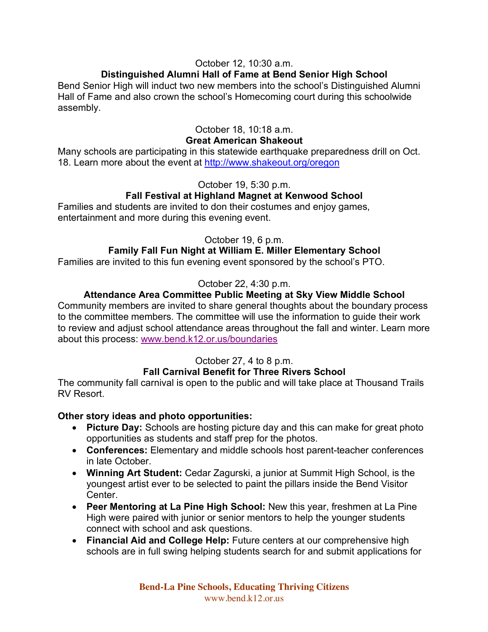# October 12, 10:30 a.m.

#### **Distinguished Alumni Hall of Fame at Bend Senior High School**

Bend Senior High will induct two new members into the school's Distinguished Alumni Hall of Fame and also crown the school's Homecoming court during this schoolwide assembly.

#### October 18, 10:18 a.m. **Great American Shakeout**

Many schools are participating in this statewide earthquake preparedness drill on Oct. 18. Learn more about the event at http://www.shakeout.org/oregon

#### October 19, 5:30 p.m.

# **Fall Festival at Highland Magnet at Kenwood School**

Families and students are invited to don their costumes and enjoy games, entertainment and more during this evening event.

# October 19, 6 p.m.

# **Family Fall Fun Night at William E. Miller Elementary School**

Families are invited to this fun evening event sponsored by the school's PTO.

# October 22, 4:30 p.m.

# **Attendance Area Committee Public Meeting at Sky View Middle School**

Community members are invited to share general thoughts about the boundary process to the committee members. The committee will use the information to guide their work to review and adjust school attendance areas throughout the fall and winter. Learn more about this process: www.bend.k12.or.us/boundaries

# October 27, 4 to 8 p.m.

# **Fall Carnival Benefit for Three Rivers School**

The community fall carnival is open to the public and will take place at Thousand Trails RV Resort.

#### **Other story ideas and photo opportunities:**

- **Picture Day:** Schools are hosting picture day and this can make for great photo opportunities as students and staff prep for the photos.
- **Conferences:** Elementary and middle schools host parent-teacher conferences in late October.
- **Winning Art Student:** Cedar Zagurski, a junior at Summit High School, is the youngest artist ever to be selected to paint the pillars inside the Bend Visitor Center.
- **Peer Mentoring at La Pine High School:** New this year, freshmen at La Pine High were paired with junior or senior mentors to help the younger students connect with school and ask questions.
- **Financial Aid and College Help:** Future centers at our comprehensive high schools are in full swing helping students search for and submit applications for